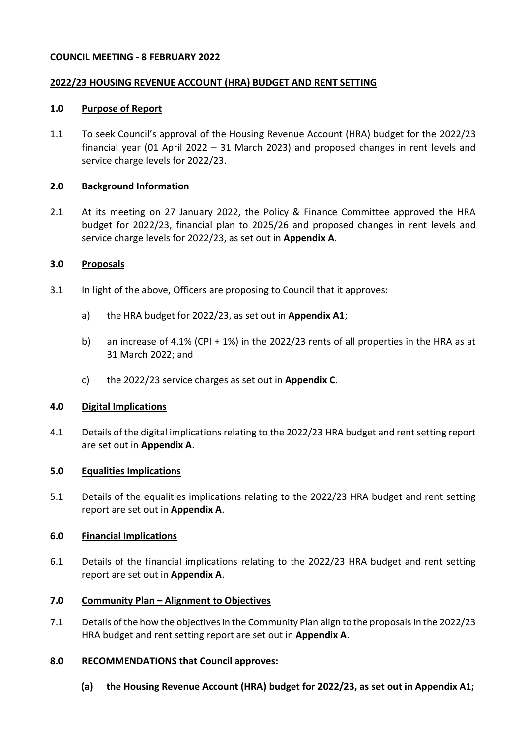# **COUNCIL MEETING - 8 FEBRUARY 2022**

### **2022/23 HOUSING REVENUE ACCOUNT (HRA) BUDGET AND RENT SETTING**

### **1.0 Purpose of Report**

1.1 To seek Council's approval of the Housing Revenue Account (HRA) budget for the 2022/23 financial year (01 April 2022 – 31 March 2023) and proposed changes in rent levels and service charge levels for 2022/23.

### **2.0 Background Information**

2.1 At its meeting on 27 January 2022, the Policy & Finance Committee approved the HRA budget for 2022/23, financial plan to 2025/26 and proposed changes in rent levels and service charge levels for 2022/23, as set out in **Appendix A**.

### **3.0 Proposals**

- 3.1 In light of the above, Officers are proposing to Council that it approves:
	- a) the HRA budget for 2022/23, as set out in **Appendix A1**;
	- b) an increase of 4.1% (CPI + 1%) in the 2022/23 rents of all properties in the HRA as at 31 March 2022; and
	- c) the 2022/23 service charges as set out in **Appendix C**.

# **4.0 Digital Implications**

4.1 Details of the digital implications relating to the 2022/23 HRA budget and rent setting report are set out in **Appendix A**.

# **5.0 Equalities Implications**

5.1 Details of the equalities implications relating to the 2022/23 HRA budget and rent setting report are set out in **Appendix A**.

# **6.0 Financial Implications**

6.1 Details of the financial implications relating to the 2022/23 HRA budget and rent setting report are set out in **Appendix A**.

# **7.0 Community Plan – Alignment to Objectives**

7.1 Details of the how the objectives in the Community Plan align to the proposals in the 2022/23 HRA budget and rent setting report are set out in **Appendix A**.

# **8.0 RECOMMENDATIONS that Council approves:**

**(a) the Housing Revenue Account (HRA) budget for 2022/23, as set out in Appendix A1;**